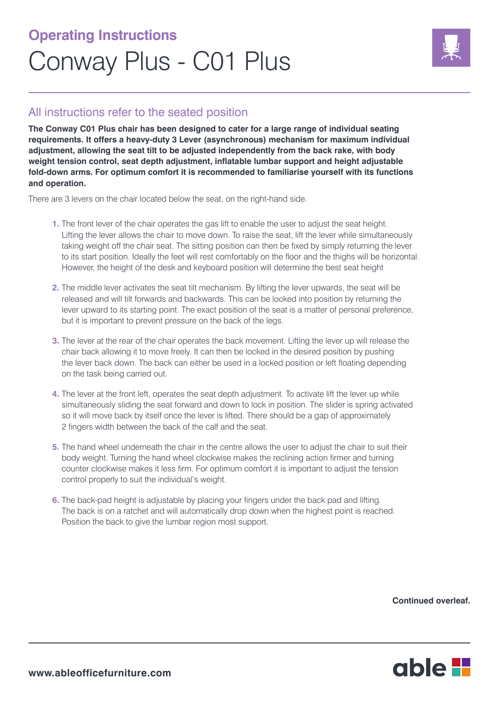## **Operating Instructions** Conway Plus - C01 Plus



## All instructions refer to the seated position

**The Conway C01 Plus chair has been designed to cater for a large range of individual seating requirements. It offers a heavy-duty 3 Lever (asynchronous) mechanism for maximum individual adjustment, allowing the seat tilt to be adjusted independently from the back rake, with body weight tension control, seat depth adjustment, inflatable lumbar support and height adjustable fold-down arms. For optimum comfort it is recommended to familiarise yourself with its functions and operation.** 

There are 3 levers on the chair located below the seat, on the right-hand side.

- **1.** The front lever of the chair operates the gas lift to enable the user to adjust the seat height. Lifting the lever allows the chair to move down. To raise the seat, lift the lever while simultaneously taking weight off the chair seat. The sitting position can then be fixed by simply returning the lever to its start position. Ideally the feet will rest comfortably on the floor and the thighs will be horizontal. However, the height of the desk and keyboard position will determine the best seat height
- **2.** The middle lever activates the seat tilt mechanism. By lifting the lever upwards, the seat will be released and will tilt forwards and backwards. This can be locked into position by returning the lever upward to its starting point. The exact position of the seat is a matter of personal preference, but it is important to prevent pressure on the back of the legs.
- **3.** The lever at the rear of the chair operates the back movement. Lifting the lever up will release the chair back allowing it to move freely. It can then be locked in the desired position by pushing the lever back down. The back can either be used in a locked position or left floating depending on the task being carried out.
- **4.** The lever at the front left, operates the seat depth adjustment. To activate lift the lever up while simultaneously sliding the seat forward and down to lock in position. The slider is spring activated so it will move back by itself once the lever is lifted. There should be a gap of approximately 2 fingers width between the back of the calf and the seat.
- **5.** The hand wheel underneath the chair in the centre allows the user to adjust the chair to suit their body weight. Turning the hand wheel clockwise makes the reclining action firmer and turning counter clockwise makes it less firm. For optimum comfort it is important to adjust the tension control properly to suit the individual's weight.
- **6.** The back-pad height is adjustable by placing your fingers under the back pad and lifting. The back is on a ratchet and will automatically drop down when the highest point is reached. Position the back to give the lumbar region most support.

**Continued overleaf.**